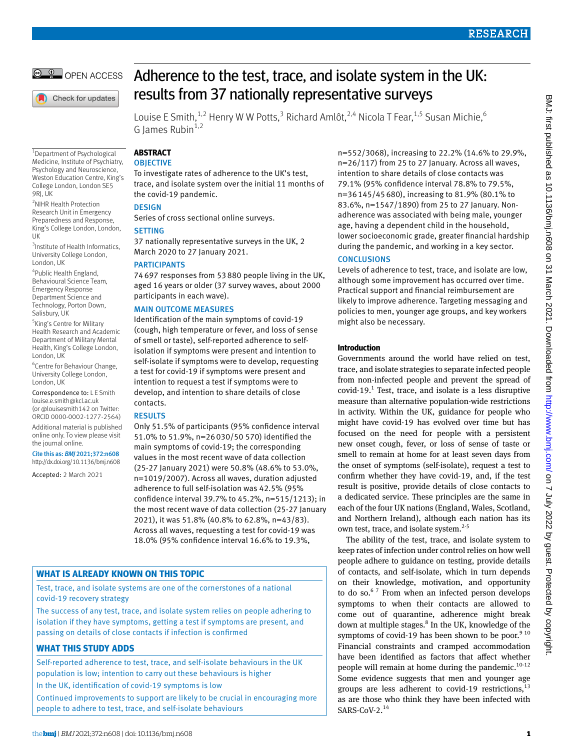

Check for updates

# Adherence to the test, trace, and isolate system in the UK: results from 37 nationally representative surveys

Louise E Smith,<sup>1,2</sup> Henry W W Potts,<sup>3</sup> Richard Amlôt,<sup>2,4</sup> Nicola T Fear,<sup>1,5</sup> Susan Michie,<sup>6</sup> G James Rubin $1$ ,

1 Department of Psychological Medicine, Institute of Psychiatry, Psychology and Neuroscience, Weston Education Centre, King's College London, London SE5 9RI, UK

2 NIHR Health Protection Research Unit in Emergency Preparedness and Response, King's College London, London, UK

3 Institute of Health Informatics, University College London, London, UK

4 Public Health England, Behavioural Science Team, Emergency Response Department Science and Technology, Porton Down, Salisbury, UK

5 King's Centre for Military Health Research and Academic Department of Military Mental Health, King's College London, London, UK

6 Centre for Behaviour Change, University College London, London, UK

Correspondence to: L E Smith [louise.e.smith@kcl.ac.uk](mailto:louise.e.smith@kcl.ac.uk) (or [@louisesmith142](https://twitter.com/louisesmith142?lang=en) on Twitter: ORCID [0000-0002-1277-2564\)](https://orcid.org/0000-0002-1277-2564)

Additional material is published online only. To view please visit the journal online.

Cite this as: *BMJ* 2021;372:n608 http://dx.doi.org/10.1136/bmj.n608

Accepted: 2 March 2021

**Abstract OBJECTIVE** To investigate rates of adherence to the UK's test, trace, and isolate system over the initial 11 months of

# **DESIGN**

Series of cross sectional online surveys.

# **SETTING**

37 nationally representative surveys in the UK, 2 March 2020 to 27 January 2021.

# **PARTICIPANTS**

the covid-19 pandemic.

74697 responses from 53880 people living in the UK, aged 16 years or older (37 survey waves, about 2000 participants in each wave).

# Main outcome measures

Identification of the main symptoms of covid-19 (cough, high temperature or fever, and loss of sense of smell or taste), self-reported adherence to selfisolation if symptoms were present and intention to self-isolate if symptoms were to develop, requesting a test for covid-19 if symptoms were present and intention to request a test if symptoms were to develop, and intention to share details of close contacts.

# **RESULTS**

Only 51.5% of participants (95% confidence interval 51.0% to 51.9%, n=26030/50 570) identified the main symptoms of covid-19; the corresponding values in the most recent wave of data collection (25-27 January 2021) were 50.8% (48.6% to 53.0%, n=1019/2007). Across all waves, duration adjusted adherence to full self-isolation was 42.5% (95% confidence interval 39.7% to 45.2%, n=515/1213); in the most recent wave of data collection (25-27 January 2021), it was 51.8% (40.8% to 62.8%, n=43/83). Across all waves, requesting a test for covid-19 was 18.0% (95% confidence interval 16.6% to 19.3%,

# **What is already known on this topic**

Test, trace, and isolate systems are one of the cornerstones of a national covid-19 recovery strategy

The success of any test, trace, and isolate system relies on people adhering to isolation if they have symptoms, getting a test if symptoms are present, and passing on details of close contacts if infection is confirmed

# **What this study adds**

Self-reported adherence to test, trace, and self-isolate behaviours in the UK population is low; intention to carry out these behaviours is higher In the UK, identification of covid-19 symptoms is low Continued improvements to support are likely to be crucial in encouraging more

people to adhere to test, trace, and self-isolate behaviours

n=552/3068), increasing to 22.2% (14.6% to 29.9%, n=26/117) from 25 to 27 January. Across all waves. intention to share details of close contacts was 79.1% (95% confidence interval 78.8% to 79.5%, n=36145/45680), increasing to 81.9% (80.1% to 83.6%, n=1547/1890) from 25 to 27 January. Nonadherence was associated with being male, younger age, having a dependent child in the household, lower socioeconomic grade, greater financial hardship during the pandemic, and working in a key sector.

# **CONCLUSIONS**

Levels of adherence to test, trace, and isolate are low, although some improvement has occurred over time. Practical support and financial reimbursement are likely to improve adherence. Targeting messaging and policies to men, younger age groups, and key workers might also be necessary.

# **Introduction**

Governments around the world have relied on test, trace, and isolate strategies to separate infected people from non-infected people and prevent the spread of  $\text{covid-19.}^1$  Test, trace, and isolate is a less disruptive measure than alternative population-wide restrictions in activity. Within the UK, guidance for people who might have covid-19 has evolved over time but has focused on the need for people with a persistent new onset cough, fever, or loss of sense of taste or smell to remain at home for at least seven days from the onset of symptoms (self-isolate), request a test to confirm whether they have covid-19, and, if the test result is positive, provide details of close contacts to a dedicated service. These principles are the same in each of the four UK nations (England, Wales, Scotland, and Northern Ireland), although each nation has its own test, trace, and isolate system.<sup>2-5</sup>

The ability of the test, trace, and isolate system to keep rates of infection under control relies on how well people adhere to guidance on testing, provide details of contacts, and self-isolate, which in turn depends on their knowledge, motivation, and opportunity to do so. $67$  From when an infected person develops symptoms to when their contacts are allowed to come out of quarantine, adherence might break down at multiple stages.<sup>8</sup> In the UK, knowledge of the symptoms of covid-19 has been shown to be poor. $9^{10}$ Financial constraints and cramped accommodation have been identified as factors that affect whether people will remain at home during the pandemic.<sup>10-12</sup> Some evidence suggests that men and younger age groups are less adherent to covid-19 restrictions, $^{13}$ as are those who think they have been infected with  $SARS-CoV-2.<sup>14</sup>$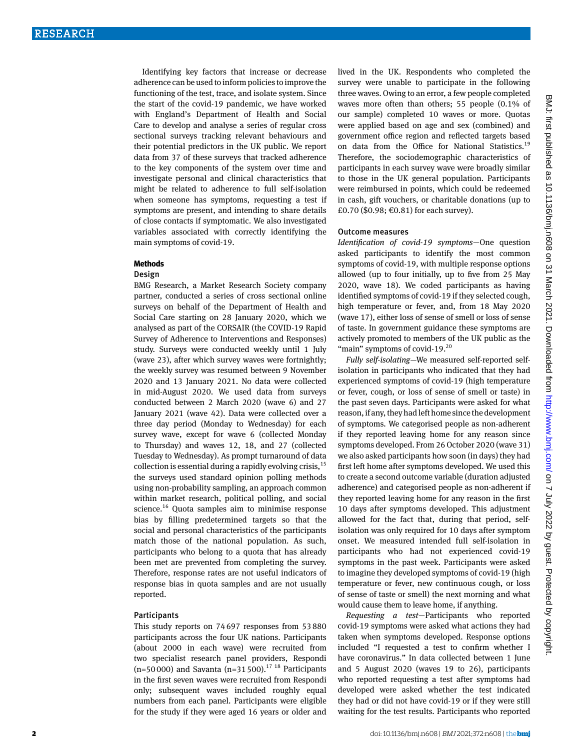Identifying key factors that increase or decrease adherence can be used to inform policies to improve the functioning of the test, trace, and isolate system. Since the start of the covid-19 pandemic, we have worked with England's Department of Health and Social Care to develop and analyse a series of regular cross sectional surveys tracking relevant behaviours and their potential predictors in the UK public. We report data from 37 of these surveys that tracked adherence to the key components of the system over time and investigate personal and clinical characteristics that might be related to adherence to full self-isolation when someone has symptoms, requesting a test if symptoms are present, and intending to share details of close contacts if symptomatic. We also investigated variables associated with correctly identifying the main symptoms of covid-19.

#### **Methods**

#### Design

BMG Research, a Market Research Society company partner, conducted a series of cross sectional online surveys on behalf of the Department of Health and Social Care starting on 28 January 2020, which we analysed as part of the CORSAIR (the COVID-19 Rapid Survey of Adherence to Interventions and Responses) study. Surveys were conducted weekly until 1 July (wave 23), after which survey waves were fortnightly; the weekly survey was resumed between 9 November 2020 and 13 January 2021. No data were collected in mid-August 2020. We used data from surveys conducted between 2 March 2020 (wave 6) and 27 January 2021 (wave 42). Data were collected over a three day period (Monday to Wednesday) for each survey wave, except for wave 6 (collected Monday to Thursday) and waves 12, 18, and 27 (collected Tuesday to Wednesday). As prompt turnaround of data collection is essential during a rapidly evolving crisis,  $15$ the surveys used standard opinion polling methods using non-probability sampling, an approach common within market research, political polling, and social science.<sup>16</sup> Quota samples aim to minimise response bias by filling predetermined targets so that the social and personal characteristics of the participants match those of the national population. As such, participants who belong to a quota that has already been met are prevented from completing the survey. Therefore, response rates are not useful indicators of response bias in quota samples and are not usually reported.

# Participants

This study reports on 74697 responses from 53880 participants across the four UK nations. Participants (about 2000 in each wave) were recruited from two specialist research panel providers, Respondi (n=50000) and Savanta (n=31500).<sup>17</sup> <sup>18</sup> Participants in the first seven waves were recruited from Respondi only; subsequent waves included roughly equal numbers from each panel. Participants were eligible for the study if they were aged 16 years or older and lived in the UK. Respondents who completed the survey were unable to participate in the following three waves. Owing to an error, a few people completed waves more often than others; 55 people (0.1% of our sample) completed 10 waves or more. Quotas were applied based on age and sex (combined) and government office region and reflected targets based on data from the Office for National Statistics.<sup>19</sup> Therefore, the sociodemographic characteristics of participants in each survey wave were broadly similar to those in the UK general population. Participants were reimbursed in points, which could be redeemed in cash, gift vouchers, or charitable donations (up to £0.70 (\$0.98; €0.81) for each survey).

#### Outcome measures

*Identification of covid-19 symptoms*—One question asked participants to identify the most common symptoms of covid-19, with multiple response options allowed (up to four initially, up to five from 25 May 2020, wave 18). We coded participants as having identified symptoms of covid-19 if they selected cough, high temperature or fever, and, from 18 May 2020 (wave 17), either loss of sense of smell or loss of sense of taste. In government guidance these symptoms are actively promoted to members of the UK public as the "main" symptoms of covid-19.<sup>20</sup>

*Fully self-isolating*—We measured self-reported selfisolation in participants who indicated that they had experienced symptoms of covid-19 (high temperature or fever, cough, or loss of sense of smell or taste) in the past seven days. Participants were asked for what reason, if any, they had left home since the development of symptoms. We categorised people as non-adherent if they reported leaving home for any reason since symptoms developed. From 26 October 2020 (wave 31) we also asked participants how soon (in days) they had first left home after symptoms developed. We used this to create a second outcome variable (duration adjusted adherence) and categorised people as non-adherent if they reported leaving home for any reason in the first 10 days after symptoms developed. This adjustment allowed for the fact that, during that period, selfisolation was only required for 10 days after symptom onset. We measured intended full self-isolation in participants who had not experienced covid-19 symptoms in the past week. Participants were asked to imagine they developed symptoms of covid-19 (high temperature or fever, new continuous cough, or loss of sense of taste or smell) the next morning and what would cause them to leave home, if anything.

*Requesting a test*—Participants who reported covid-19 symptoms were asked what actions they had taken when symptoms developed. Response options included "I requested a test to confirm whether I have coronavirus." In data collected between 1 June and 5 August 2020 (waves 19 to 26), participants who reported requesting a test after symptoms had developed were asked whether the test indicated they had or did not have covid-19 or if they were still waiting for the test results. Participants who reported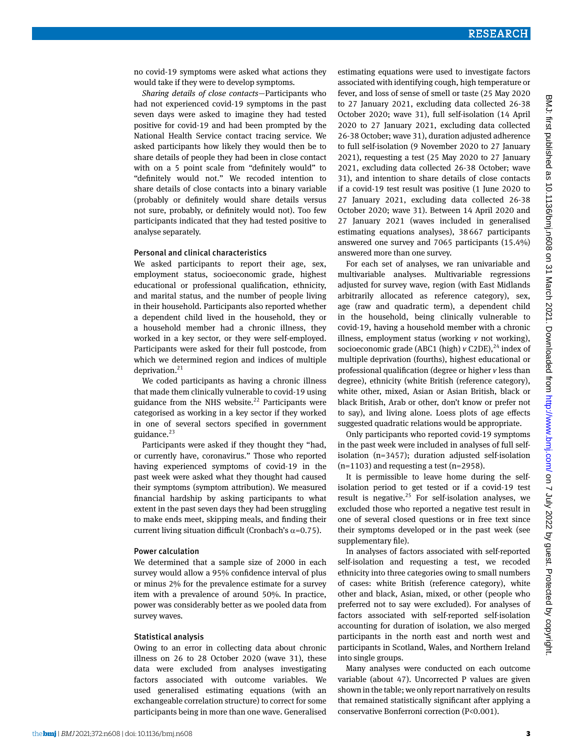no covid-19 symptoms were asked what actions they would take if they were to develop symptoms.

*Sharing details of close contacts*—Participants who had not experienced covid-19 symptoms in the past seven days were asked to imagine they had tested positive for covid-19 and had been prompted by the National Health Service contact tracing service. We asked participants how likely they would then be to share details of people they had been in close contact with on a 5 point scale from "definitely would" to "definitely would not." We recoded intention to share details of close contacts into a binary variable (probably or definitely would share details versus not sure, probably, or definitely would not). Too few participants indicated that they had tested positive to analyse separately.

#### Personal and clinical characteristics

We asked participants to report their age, sex, employment status, socioeconomic grade, highest educational or professional qualification, ethnicity, and marital status, and the number of people living in their household. Participants also reported whether a dependent child lived in the household, they or a household member had a chronic illness, they worked in a key sector, or they were self-employed. Participants were asked for their full postcode, from which we determined region and indices of multiple deprivation. $21$ 

We coded participants as having a chronic illness that made them clinically vulnerable to covid-19 using guidance from the NHS website. $^{22}$  Participants were categorised as working in a key sector if they worked in one of several sectors specified in government guidance.<sup>23</sup>

Participants were asked if they thought they "had, or currently have, coronavirus." Those who reported having experienced symptoms of covid-19 in the past week were asked what they thought had caused their symptoms (symptom attribution). We measured financial hardship by asking participants to what extent in the past seven days they had been struggling to make ends meet, skipping meals, and finding their current living situation difficult (Cronbach's  $\alpha$ =0.75).

#### Power calculation

We determined that a sample size of 2000 in each survey would allow a 95% confidence interval of plus or minus 2% for the prevalence estimate for a survey item with a prevalence of around 50%. In practice, power was considerably better as we pooled data from survey waves.

#### Statistical analysis

Owing to an error in collecting data about chronic illness on 26 to 28 October 2020 (wave 31), these data were excluded from analyses investigating factors associated with outcome variables. We used generalised estimating equations (with an exchangeable correlation structure) to correct for some participants being in more than one wave. Generalised

estimating equations were used to investigate factors associated with identifying cough, high temperature or fever, and loss of sense of smell or taste (25 May 2020 to 27 January 2021, excluding data collected 26-38 October 2020; wave 31), full self-isolation (14 April 2020 to 27 January 2021, excluding data collected 26-38 October; wave 31), duration adjusted adherence to full self-isolation (9 November 2020 to 27 January 2021), requesting a test (25 May 2020 to 27 January 2021, excluding data collected 26-38 October; wave 31), and intention to share details of close contacts if a covid-19 test result was positive (1 June 2020 to 27 January 2021, excluding data collected 26-38 October 2020; wave 31). Between 14 April 2020 and 27 January 2021 (waves included in generalised estimating equations analyses), 38667 participants answered one survey and 7065 participants (15.4%) answered more than one survey.

For each set of analyses, we ran univariable and multivariable analyses. Multivariable regressions adjusted for survey wave, region (with East Midlands arbitrarily allocated as reference category), sex, age (raw and quadratic term), a dependent child in the household, being clinically vulnerable to covid-19, having a household member with a chronic illness, employment status (working *v* not working), socioeconomic grade (ABC1 (high)  $v$  C2DE),<sup>24</sup> index of multiple deprivation (fourths), highest educational or professional qualification (degree or higher *v* less than degree), ethnicity (white British (reference category), white other, mixed, Asian or Asian British, black or black British, Arab or other, don't know or prefer not to say), and living alone. Loess plots of age effects suggested quadratic relations would be appropriate.

Only participants who reported covid-19 symptoms in the past week were included in analyses of full selfisolation (n=3457); duration adjusted self-isolation  $(n=1103)$  and requesting a test  $(n=2958)$ .

It is permissible to leave home during the selfisolation period to get tested or if a covid-19 test result is negative.<sup>25</sup> For self-isolation analyses, we excluded those who reported a negative test result in one of several closed questions or in free text since their symptoms developed or in the past week (see supplementary file).

In analyses of factors associated with self-reported self-isolation and requesting a test, we recoded ethnicity into three categories owing to small numbers of cases: white British (reference category), white other and black, Asian, mixed, or other (people who preferred not to say were excluded). For analyses of factors associated with self-reported self-isolation accounting for duration of isolation, we also merged participants in the north east and north west and participants in Scotland, Wales, and Northern Ireland into single groups.

Many analyses were conducted on each outcome variable (about 47). Uncorrected P values are given shown in the table; we only report narratively on results that remained statistically significant after applying a conservative Bonferroni correction (P<0.001).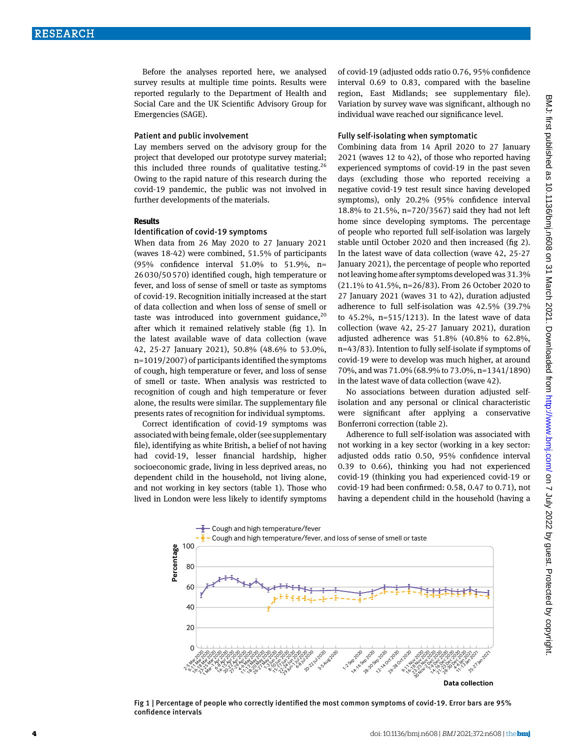Before the analyses reported here, we analysed survey results at multiple time points. Results were reported regularly to the Department of Health and Social Care and the UK Scientific Advisory Group for Emergencies (SAGE).

#### Patient and public involvement

Lay members served on the advisory group for the project that developed our prototype survey material; this included three rounds of qualitative testing.<sup>26</sup> Owing to the rapid nature of this research during the covid-19 pandemic, the public was not involved in further developments of the materials.

#### **Results**

# Identification of covid-19 symptoms

When data from 26 May 2020 to 27 January 2021 (waves 18-42) were combined, 51.5% of participants (95% confidence interval 51.0% to 51.9%, n= 26030/50570) identified cough, high temperature or fever, and loss of sense of smell or taste as symptoms of covid-19. Recognition initially increased at the start of data collection and when loss of sense of smell or taste was introduced into government guidance,  $20$ after which it remained relatively stable (fig 1). In the latest available wave of data collection (wave 42, 25-27 January 2021), 50.8% (48.6% to 53.0%, n=1019/2007) of participants identified the symptoms of cough, high temperature or fever, and loss of sense of smell or taste. When analysis was restricted to recognition of cough and high temperature or fever alone, the results were similar. The supplementary file presents rates of recognition for individual symptoms.

Correct identification of covid-19 symptoms was associated with being female, older (see supplementary file), identifying as white British, a belief of not having had covid-19, lesser financial hardship, higher socioeconomic grade, living in less deprived areas, no dependent child in the household, not living alone, and not working in key sectors (table 1). Those who lived in London were less likely to identify symptoms of covid-19 (adjusted odds ratio 0.76, 95% confidence interval 0.69 to 0.83, compared with the baseline region, East Midlands; see supplementary file). Variation by survey wave was significant, although no individual wave reached our significance level.

#### Fully self-isolating when symptomatic

Combining data from 14 April 2020 to 27 January 2021 (waves 12 to 42), of those who reported having experienced symptoms of covid-19 in the past seven days (excluding those who reported receiving a negative covid-19 test result since having developed symptoms), only 20.2% (95% confidence interval 18.8% to 21.5%, n=720/3567) said they had not left home since developing symptoms. The percentage of people who reported full self-isolation was largely stable until October 2020 and then increased (fig 2). In the latest wave of data collection (wave 42, 25-27 January 2021), the percentage of people who reported not leaving home after symptoms developed was 31.3% (21.1% to 41.5%, n=26/83). From 26 October 2020 to 27 January 2021 (waves 31 to 42), duration adjusted adherence to full self-isolation was 42.5% (39.7% to  $45.2\%$ , n= $515/1213$ ). In the latest wave of data collection (wave 42, 25-27 January 2021), duration adjusted adherence was 51.8% (40.8% to 62.8%, n=43/83). Intention to fully self-isolate if symptoms of covid-19 were to develop was much higher, at around 70%, and was 71.0% (68.9% to 73.0%, n=1341/1890) in the latest wave of data collection (wave 42).

No associations between duration adjusted selfisolation and any personal or clinical characteristic were significant after applying a conservative Bonferroni correction (table 2).

Adherence to full self-isolation was associated with not working in a key sector (working in a key sector: adjusted odds ratio 0.50, 95% confidence interval 0.39 to 0.66), thinking you had not experienced covid-19 (thinking you had experienced covid-19 or covid-19 had been confirmed: 0.58, 0.47 to 0.71), not having a dependent child in the household (having a



Fig 1 | Percentage of people who correctly identified the most common symptoms of covid-19. Error bars are 95% confidence intervals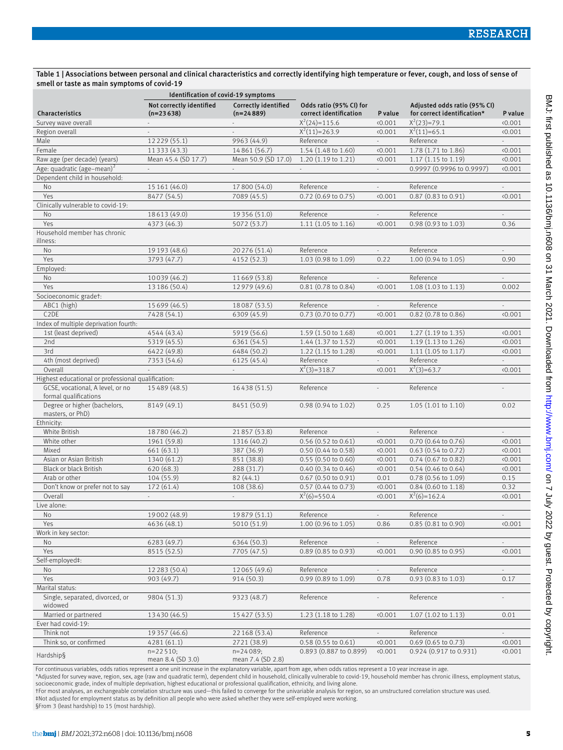## Table 1 | Associations between personal and clinical characteristics and correctly identifying high temperature or fever, cough, and loss of sense of smell or taste as main symptoms of covid-19

|                                                           | Identification of covid-19 symptoms     |                                     |                                                   |                             |                                                             |                             |
|-----------------------------------------------------------|-----------------------------------------|-------------------------------------|---------------------------------------------------|-----------------------------|-------------------------------------------------------------|-----------------------------|
| Characteristics                                           | Not correctly identified<br>$(n=23638)$ | Correctly identified<br>$(n=24889)$ | Odds ratio (95% CI) for<br>correct identification | P value                     | Adjusted odds ratio (95% CI)<br>for correct identification* | P value                     |
| Survey wave overall                                       |                                         | ÷.                                  | $X^2(24)=115.6$                                   | 0.001                       | $X^2(23)=79.1$                                              | 0.001                       |
| Region overall                                            | $\overline{\phantom{a}}$                | ÷,                                  | $X^2(11)=263.9$                                   | 0.001                       | $X^2(11)=65.1$                                              | 0.001                       |
| Male                                                      | 12 2 29 (55.1)                          | 9963 (44.9)                         | Reference                                         | $\sim$                      | Reference                                                   | $\sim$                      |
| Female                                                    | 11 3 3 (4 3 . 3)                        | 14861 (56.7)                        | 1.54 (1.48 to 1.60)                               | 0.001                       | 1.78 (1.71 to 1.86)                                         | 0.001                       |
| Raw age (per decade) (years)                              | Mean 45.4 (SD 17.7)                     | Mean 50.9 (SD 17.0)                 | $1.20(1.19 \text{ to } 1.21)$                     | 0.001                       | 1.17 (1.15 to 1.19)                                         | 0.001                       |
| Age: quadratic (age-mean) <sup>2</sup>                    |                                         |                                     |                                                   | $\mathcal{L}_{\mathcal{A}}$ | 0.9997 (0.9996 to 0.9997)                                   | 0.001                       |
| Dependent child in household:                             |                                         |                                     |                                                   |                             |                                                             |                             |
| <b>No</b>                                                 | 15 161 (46.0)                           | 17 800 (54.0)                       | Reference                                         | $\omega$                    | Reference                                                   | $\sim$                      |
| Yes                                                       | 8477 (54.5)                             | 7089 (45.5)                         | 0.72 (0.69 to 0.75)                               | 0.001                       | 0.87 (0.83 to 0.91)                                         | 0.001                       |
| Clinically vulnerable to covid-19:                        |                                         |                                     |                                                   |                             |                                                             |                             |
| No                                                        | 18613 (49.0)                            | 19 3 5 6 (51.0)                     | Reference                                         |                             | Reference                                                   |                             |
| Yes                                                       | 4373 (46.3)                             | 5072 (53.7)                         | 1.11(1.05 to 1.16)                                | (0.001)                     | 0.98 (0.93 to 1.03)                                         | 0.36                        |
| Household member has chronic<br>illness:                  |                                         |                                     |                                                   |                             |                                                             |                             |
| No                                                        | 19 19 3 (48.6)                          | 20 276 (51.4)                       | Reference                                         | $\overline{\phantom{a}}$    | Reference                                                   |                             |
| Yes                                                       | 3793 (47.7)                             | 4152 (52.3)                         | 1.03 (0.98 to 1.09)                               | 0.22                        | 1.00 (0.94 to 1.05)                                         | 0.90                        |
| Employed:                                                 |                                         |                                     |                                                   |                             |                                                             |                             |
| No                                                        | 10039 (46.2)                            | 11669 (53.8)                        | Reference                                         | $\sim$                      | Reference                                                   | $\mathbf{r}$                |
| Yes                                                       | 13 186 (50.4)                           | 12979 (49.6)                        | 0.81 (0.78 to 0.84)                               | 0.001                       | 1.08 (1.03 to 1.13)                                         | 0.002                       |
| Socioeconomic gradet:                                     |                                         |                                     |                                                   |                             |                                                             |                             |
| ABC1 (high)                                               | 15 699 (46.5)                           | 18087 (53.5)                        | Reference                                         |                             | Reference                                                   |                             |
| C <sub>2</sub> DE                                         | 7428 (54.1)                             | 6309 (45.9)                         | 0.73 (0.70 to 0.77)                               | 0.001                       | 0.82 (0.78 to 0.86)                                         | 0.001                       |
| Index of multiple deprivation fourth:                     |                                         |                                     |                                                   |                             |                                                             |                             |
| 1st (least deprived)                                      | 4544 (43.4)                             | 5919 (56.6)                         | 1.59 (1.50 to 1.68)                               | 0.001                       | 1.27 (1.19 to 1.35)                                         | 0.001                       |
| 2nd                                                       | 5319 (45.5)                             | 6361 (54.5)                         | 1.44 (1.37 to 1.52)                               | 0.001                       | 1.19 (1.13 to 1.26)                                         | (0.001)                     |
| 3rd                                                       | 6422 (49.8)                             | 6484 (50.2)                         | 1.22 (1.15 to 1.28)                               | (0.001)                     | 1.11(1.05 to 1.17)                                          | 0.001                       |
| 4th (most deprived)                                       | 7353 (54.6)                             | 6125 (45.4)                         | Reference                                         | $\mathcal{L}^{\pm}$         | Reference                                                   | $\mathcal{L}^{\pm}$         |
| Overall                                                   |                                         | $\overline{\phantom{a}}$            | $X^2(3)=318.7$                                    | 0.001                       | $X^2(3)=63.7$                                               | 0.001                       |
| Highest educational or professional qualification:        |                                         |                                     |                                                   |                             |                                                             |                             |
| GCSE, vocational, A level, or no<br>formal qualifications | 15 489 (48.5)                           | 16438 (51.5)                        | Reference                                         | $\sim$                      | Reference                                                   | L.                          |
| Degree or higher (bachelors,<br>masters, or PhD)          | 8149 (49.1)                             | 8451 (50.9)                         | 0.98 (0.94 to 1.02)                               | 0.25                        | 1.05 (1.01 to 1.10)                                         | 0.02                        |
| Ethnicity:                                                |                                         |                                     |                                                   |                             |                                                             |                             |
| White British                                             | 18780 (46.2)                            | 21857 (53.8)                        | Reference                                         | $\mathcal{L}_{\mathcal{A}}$ | Reference                                                   | $\sim$                      |
| White other                                               | 1961 (59.8)                             | 1316 (40.2)                         | $0.56$ $(0.52$ to $0.61)$                         | 0.001                       | 0.70 (0.64 to 0.76)                                         | 0.001                       |
| Mixed                                                     | 661 (63.1)                              | 387 (36.9)                          | $0.50(0.44 \text{ to } 0.58)$                     | (0.001)                     | $0.63$ $(0.54$ to $0.72)$                                   | (0.001)                     |
| Asian or Asian British                                    | 1340 (61.2)                             | 851 (38.8)                          | $0.55$ (0.50 to 0.60)                             | 0.001                       | 0.74 (0.67 to 0.82)                                         | 0.001                       |
| <b>Black or black British</b>                             | 620 (68.3)                              | 288 (31.7)                          | $0.40$ $(0.34$ to $0.46)$                         | 0.001                       | $0.54$ (0.46 to 0.64)                                       | 0.001                       |
| Arab or other                                             | 104 (55.9)                              | 82(44.1)                            | 0.67 (0.50 to 0.91)                               | 0.01                        | 0.78 (0.56 to 1.09)                                         | 0.15                        |
| Don't know or prefer not to say                           | 172 (61.4)                              | 108 (38.6)                          | 0.57 (0.44 to 0.73)                               | 0.001                       | 0.84 (0.60 to 1.18)                                         | 0.32                        |
| Overall                                                   | $\mathbb{Z}^+$                          | $\mathcal{L}^{\pm}$                 | $X^2(6)=550.4$                                    | 0.001                       | $X^2(6)=162.4$                                              | 0.001                       |
| Live alone:                                               |                                         |                                     |                                                   |                             |                                                             |                             |
| No                                                        | 19002 (48.9)                            | 19879 (51.1)                        | Reference                                         |                             | Reference                                                   |                             |
| Yes                                                       | 4636 (48.1)                             | 5010 (51.9)                         | $1.00(0.96 \text{ to } 1.05)$                     | 0.86                        | $0.85$ (0.81 to 0.90)                                       | 0.001                       |
| Work in key sector:                                       |                                         |                                     |                                                   |                             |                                                             |                             |
| No                                                        | 6283 (49.7)                             | 6364 (50.3)                         | Reference                                         |                             | Reference                                                   | $\mathcal{L}_{\mathcal{A}}$ |
| Yes                                                       | 8515 (52.5)                             | 7705 (47.5)                         | 0.89 (0.85 to 0.93)                               | 0.001                       | 0.90 (0.85 to 0.95)                                         | 0.001                       |
| Self-employed‡:                                           |                                         |                                     |                                                   |                             |                                                             |                             |
| No                                                        | 12 283 (50.4)                           | 12065 (49.6)                        | Reference                                         | $\sim$                      | Reference                                                   | ÷.                          |
| Yes                                                       | 903(49.7)                               | 914 (50.3)                          | 0.99 (0.89 to 1.09)                               | 0.78                        | 0.93 (0.83 to 1.03)                                         | 0.17                        |
| Marital status:                                           |                                         |                                     |                                                   |                             |                                                             |                             |
| Single, separated, divorced, or                           | 9804 (51.3)                             | 9323 (48.7)                         | Reference                                         |                             | Reference                                                   |                             |
| widowed                                                   |                                         |                                     |                                                   |                             |                                                             |                             |
| Married or partnered                                      | 13430 (46.5)                            | 15427 (53.5)                        | 1.23 (1.18 to 1.28)                               | 0.001                       | $1.07$ (1.02 to 1.13)                                       | 0.01                        |
| Ever had covid-19:                                        |                                         |                                     |                                                   |                             |                                                             |                             |
| Think not                                                 | 19 357 (46.6)                           | 22 168 (53.4)                       | Reference                                         |                             | Reference                                                   |                             |
| Think so, or confirmed                                    | 4281(61.1)                              | 2721 (38.9)                         | $0.58$ (0.55 to 0.61)                             | 0.001                       | 0.69 (0.65 to 0.73)                                         | 0.001                       |
| Hardship§                                                 | $n=22510;$<br>mean 8.4 (SD 3.0)         | $n=24089;$<br>mean 7.4 (SD 2.8)     | 0.893 (0.887 to 0.899)                            | (0.001)                     | 0.924 (0.917 to 0.931)                                      | 0.001                       |

For continuous variables, odds ratios represent a one unit increase in the explanatory variable, apart from age, when odds ratios represent a 10 year increase in age.

\*Adjusted for survey wave, region, sex, age (raw and quadratic term), dependent child in household, clinically vulnerable to covid-19, household member has chronic illness, employment status, socioeconomic grade, index of multiple deprivation, highest educational or professional qualification, ethnicity, and living alone.

†For most analyses, an exchangeable correlation structure was used—this failed to converge for the univariable analysis for region, so an unstructured correlation structure was used.<br>‡Not adjusted for employment status as

§From 3 (least hardship) to 15 (most hardship).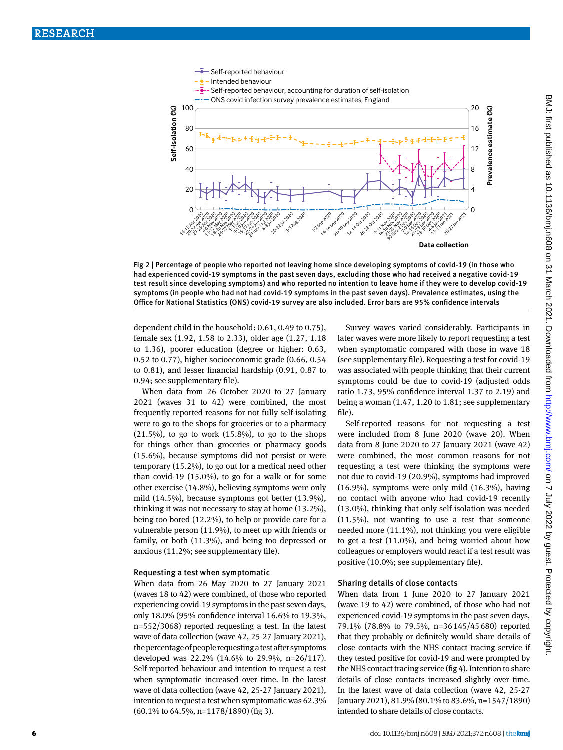

Fig 2 | Percentage of people who reported not leaving home since developing symptoms of covid-19 (in those who had experienced covid-19 symptoms in the past seven days, excluding those who had received a negative covid-19 test result since developing symptoms) and who reported no intention to leave home if they were to develop covid-19 symptoms (in people who had not had covid-19 symptoms in the past seven days). Prevalence estimates, using the Office for National Statistics (ONS) covid-19 survey are also included. Error bars are 95% confidence intervals

dependent child in the household: 0.61, 0.49 to 0.75), female sex (1.92, 1.58 to 2.33), older age (1.27, 1.18 to 1.36), poorer education (degree or higher: 0.63, 0.52 to 0.77), higher socioeconomic grade (0.66, 0.54 to 0.81), and lesser financial hardship (0.91, 0.87 to 0.94; see supplementary file).

When data from 26 October 2020 to 27 January 2021 (waves 31 to 42) were combined, the most frequently reported reasons for not fully self-isolating were to go to the shops for groceries or to a pharmacy  $(21.5\%)$ , to go to work  $(15.8\%)$ , to go to the shops for things other than groceries or pharmacy goods (15.6%), because symptoms did not persist or were temporary (15.2%), to go out for a medical need other than covid-19 (15.0%), to go for a walk or for some other exercise (14.8%), believing symptoms were only mild (14.5%), because symptoms got better (13.9%), thinking it was not necessary to stay at home (13.2%), being too bored (12.2%), to help or provide care for a vulnerable person (11.9%), to meet up with friends or family, or both (11.3%), and being too depressed or anxious (11.2%; see supplementary file).

### Requesting a test when symptomatic

When data from 26 May 2020 to 27 January 2021 (waves 18 to 42) were combined, of those who reported experiencing covid-19 symptoms in the past seven days, only 18.0% (95% confidence interval 16.6% to 19.3%, n=552/3068) reported requesting a test. In the latest wave of data collection (wave 42, 25-27 January 2021), the percentage of people requesting a test after symptoms developed was 22.2% (14.6% to 29.9%, n=26/117). Self-reported behaviour and intention to request a test when symptomatic increased over time. In the latest wave of data collection (wave 42, 25-27 January 2021), intention to request a test when symptomatic was 62.3% (60.1% to 64.5%, n=1178/1890) (fig 3).

Survey waves varied considerably. Participants in later waves were more likely to report requesting a test when symptomatic compared with those in wave 18 (see supplementary file). Requesting a test for covid-19 was associated with people thinking that their current symptoms could be due to covid-19 (adjusted odds ratio 1.73, 95% confidence interval 1.37 to 2.19) and being a woman (1.47, 1.20 to 1.81; see supplementary file).

Self-reported reasons for not requesting a test were included from 8 June 2020 (wave 20). When data from 8 June 2020 to 27 January 2021 (wave 42) were combined, the most common reasons for not requesting a test were thinking the symptoms were not due to covid-19 (20.9%), symptoms had improved (16.9%), symptoms were only mild (16.3%), having no contact with anyone who had covid-19 recently (13.0%), thinking that only self-isolation was needed (11.5%), not wanting to use a test that someone needed more (11.1%), not thinking you were eligible to get a test (11.0%), and being worried about how colleagues or employers would react if a test result was positive (10.0%; see supplementary file).

#### Sharing details of close contacts

When data from 1 June 2020 to 27 January 2021 (wave 19 to 42) were combined, of those who had not experienced covid-19 symptoms in the past seven days, 79.1% (78.8% to 79.5%, n=36145/45680) reported that they probably or definitely would share details of close contacts with the NHS contact tracing service if they tested positive for covid-19 and were prompted by the NHS contact tracing service (fig 4). Intention to share details of close contacts increased slightly over time. In the latest wave of data collection (wave 42, 25-27 January 2021), 81.9% (80.1% to 83.6%, n=1547/1890) intended to share details of close contacts.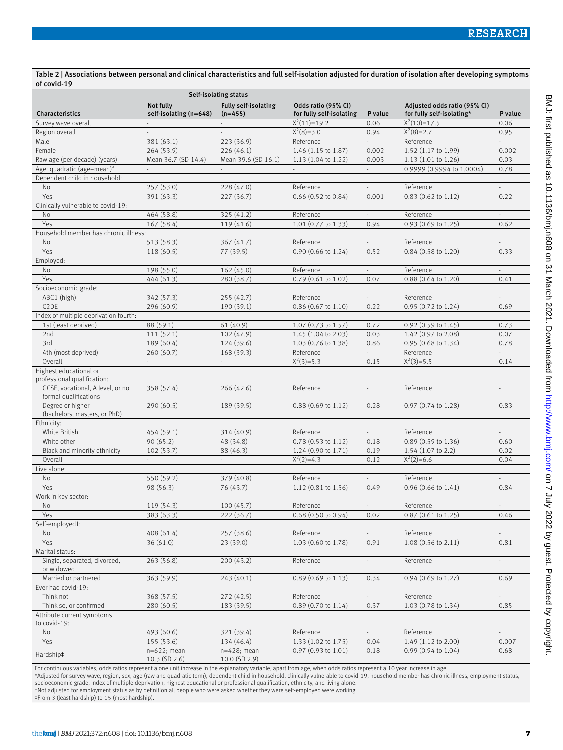# Table 2 | Associations between personal and clinical characteristics and full self-isolation adjusted for duration of isolation after developing symptoms of covid-19

|                                                           | Self-isolating status               |                                          |                                                 |                             |                                                           |                          |
|-----------------------------------------------------------|-------------------------------------|------------------------------------------|-------------------------------------------------|-----------------------------|-----------------------------------------------------------|--------------------------|
| Characteristics                                           | Not fully<br>self-isolating (n=648) | <b>Fully self-isolating</b><br>$(n=455)$ | Odds ratio (95% CI)<br>for fully self-isolating | P value                     | Adjusted odds ratio (95% CI)<br>for fully self-isolating* | P value                  |
| Survey wave overall                                       |                                     |                                          | $X^2(11)=19.2$                                  | 0.06                        | $X^2(10)=17.5$                                            | 0.06                     |
| Region overall                                            | $\sim$                              | $\sim$                                   | $X^2(8)=3.0$                                    | 0.94                        | $X^2(8)=2.7$                                              | 0.95                     |
| Male                                                      | 381 (63.1)                          | 223 (36.9)                               | Reference                                       | ÷.                          | Reference                                                 |                          |
| Female                                                    | 264 (53.9)                          | 226(46.1)                                | 1.46 (1.15 to 1.87)                             | 0.002                       | 1.52 (1.17 to 1.99)                                       | 0.002                    |
| Raw age (per decade) (years)                              | Mean 36.7 (SD 14.4)                 | Mean 39.6 (SD 16.1)                      | 1.13 (1.04 to 1.22)                             | 0.003                       | 1.13 (1.01 to 1.26)                                       | 0.03                     |
| Age: quadratic (age-mean) <sup>2</sup>                    | $\overline{\phantom{a}}$            | $\sim$                                   | $\overline{\phantom{a}}$                        | $\sim$                      | 0.9999 (0.9994 to 1.0004)                                 | 0.78                     |
| Dependent child in household:                             |                                     |                                          |                                                 |                             |                                                           |                          |
| No                                                        | 257 (53.0)                          | 228 (47.0)                               | Reference                                       | $\overline{\phantom{a}}$    | Reference                                                 | $\overline{\phantom{a}}$ |
| Yes                                                       | 391 (63.3)                          | 227 (36.7)                               | 0.66 (0.52 to 0.84)                             | 0.001                       | 0.83 (0.62 to 1.12)                                       | 0.22                     |
| Clinically vulnerable to covid-19:                        |                                     |                                          |                                                 |                             |                                                           |                          |
| No                                                        | 464 (58.8)                          | 325 (41.2)                               | Reference                                       | $\omega$                    | Reference                                                 | ÷.                       |
| Yes                                                       | 167 (58.4)                          | 119 (41.6)                               | 1.01 (0.77 to 1.33)                             | 0.94                        | $0.93$ (0.69 to 1.25)                                     | 0.62                     |
| Household member has chronic illness:                     |                                     |                                          |                                                 |                             |                                                           |                          |
| No                                                        | 513 (58.3)                          | 367 (41.7)                               | Reference                                       | $\sim$                      | Reference                                                 | $\sim$                   |
| Yes                                                       | 118 (60.5)                          | 77 (39.5)                                | $0.90$ (0.66 to 1.24)                           | 0.52                        | 0.84 (0.58 to 1.20)                                       | 0.33                     |
| Employed:                                                 |                                     |                                          |                                                 |                             |                                                           |                          |
| <b>No</b>                                                 | 198 (55.0)                          | 162 (45.0)                               | Reference                                       |                             | Reference                                                 |                          |
| Yes                                                       | 444 (61.3)                          | 280 (38.7)                               | $0.79$ (0.61 to 1.02)                           | 0.07                        | $0.88$ (0.64 to 1.20)                                     | 0.41                     |
| Socioeconomic grade:                                      |                                     |                                          |                                                 |                             |                                                           |                          |
| ABC1 (high)                                               | 342 (57.3)                          | 255 (42.7)                               | Reference                                       | $\omega$                    | Reference                                                 | $\sim$                   |
| C <sub>2</sub> DE                                         | 296 (60.9)                          | 190(39.1)                                | 0.86 (0.67 to 1.10)                             | 0.22                        | 0.95 (0.72 to 1.24)                                       | 0.69                     |
| Index of multiple deprivation fourth:                     |                                     |                                          |                                                 |                             |                                                           |                          |
| 1st (least deprived)                                      | 88 (59.1)                           | 61(40.9)                                 | 1.07 (0.73 to 1.57)                             | 0.72                        | 0.92 (0.59 to 1.45)                                       | 0.73                     |
| 2nd                                                       | 111(52.1)                           | 102 (47.9)                               | 1.45 (1.04 to 2.03)                             | 0.03                        | 1.42 (0.97 to 2.08)                                       | 0.07                     |
| 3rd                                                       | 189 (60.4)                          | 124 (39.6)                               | 1.03 (0.76 to 1.38)                             | 0.86                        | 0.95 (0.68 to 1.34)                                       | 0.78                     |
| 4th (most deprived)                                       | 260(60.7)                           | 168 (39.3)                               | Reference                                       | $\overline{a}$              | Reference                                                 | ÷.                       |
| Overall                                                   | $\overline{\phantom{a}}$            | $\sim$                                   | $X^2(3)=5.3$                                    | 0.15                        | $X^2(3)=5.5$                                              | 0.14                     |
| Highest educational or                                    |                                     |                                          |                                                 |                             |                                                           |                          |
| professional qualification:                               |                                     |                                          |                                                 |                             |                                                           |                          |
| GCSE, vocational, A level, or no<br>formal qualifications | 358 (57.4)                          | 266(42.6)                                | Reference                                       |                             | Reference                                                 |                          |
| Degree or higher<br>(bachelors, masters, or PhD)          | 290(60.5)                           | 189 (39.5)                               | $0.88$ (0.69 to 1.12)                           | 0.28                        | $0.97$ (0.74 to 1.28)                                     | 0.83                     |
| Ethnicity:                                                |                                     |                                          |                                                 |                             |                                                           |                          |
| White British                                             | 454 (59.1)                          | 314 (40.9)                               | Reference                                       | $\sim$                      | Reference                                                 | $\bar{ }$                |
| White other                                               | 90(65.2)                            | 48 (34.8)                                | 0.78 (0.53 to 1.12)                             | 0.18                        | 0.89 (0.59 to 1.36)                                       | 0.60                     |
| Black and minority ethnicity                              | 102(53.7)                           | 88 (46.3)                                | 1.24 (0.90 to 1.71)                             | 0.19                        | 1.54 (1.07 to 2.2)                                        | 0.02                     |
| Overall                                                   | $\overline{\phantom{a}}$            | $\overline{\phantom{a}}$                 | $X^2(2)=4.3$                                    | 0.12                        | $X^2(2)=6.6$                                              | 0.04                     |
| Live alone:                                               |                                     |                                          |                                                 |                             |                                                           |                          |
| <b>No</b>                                                 | 550 (59.2)                          | 379 (40.8)                               | Reference                                       | $\mathcal{L}_{\mathcal{A}}$ | Reference                                                 | $\mathbb{Z}^2$           |
| Yes                                                       | 98 (56.3)                           | 76 (43.7)                                | 1.12 (0.81 to 1.56)                             | 0.49                        | 0.96 (0.66 to 1.41)                                       | 0.84                     |
| Work in key sector:                                       |                                     |                                          |                                                 |                             |                                                           |                          |
| No                                                        | 119 (54.3)                          | 100(45.7)                                | Reference                                       | $\overline{\phantom{a}}$    | Reference                                                 | $\sim$                   |
| Yes                                                       |                                     |                                          | $0.68$ (0.50 to 0.94)                           | 0.02                        | $0.87$ (0.61 to 1.25)                                     | 0.46                     |
| Self-employedt:                                           | 383 (63.3)                          | 222 (36.7)                               |                                                 |                             |                                                           |                          |
| No.                                                       | 408 (61.4)                          | 257 (38.6)                               | Reference                                       |                             | Reference                                                 |                          |
| Yes                                                       | 36 (61.0)                           | 23(39.0)                                 | 1.03 (0.60 to 1.78)                             | 0.91                        | 1.08 (0.56 to 2.11)                                       | 0.81                     |
| Marital status:                                           |                                     |                                          |                                                 |                             |                                                           |                          |
| Single, separated, divorced,<br>or widowed                | 263(56.8)                           | 200(43.2)                                | Reference                                       | $\overline{\phantom{a}}$    | Reference                                                 | ÷,                       |
|                                                           |                                     |                                          |                                                 |                             |                                                           |                          |
| Married or partnered<br>Ever had covid-19:                | 363(59.9)                           | 243(40.1)                                | $0.89$ (0.69 to 1.13)                           | 0.34                        | $0.94$ (0.69 to 1.27)                                     | 0.69                     |
|                                                           |                                     |                                          |                                                 |                             |                                                           |                          |
| Think not<br>Think so, or confirmed                       | 368(57.5)<br>280 (60.5)             | 272 (42.5)<br>183 (39.5)                 | Reference<br>0.89 (0.70 to 1.14)                | 0.37                        | Reference<br>1.03 (0.78 to 1.34)                          | 0.85                     |
| Attribute current symptoms                                |                                     |                                          |                                                 |                             |                                                           |                          |
| to covid-19:<br>No                                        | 493 (60.6)                          | 321 (39.4)                               | Reference                                       |                             | Reference                                                 |                          |
| Yes                                                       | 155 (53.6)                          | 134 (46.4)                               | 1.33 (1.02 to 1.75)                             | 0.04                        | 1.49 (1.12 to 2.00)                                       | 0.007                    |
|                                                           | $n=622$ ; mean                      | $n=428$ ; mean                           | 0.97 (0.93 to 1.01)                             | 0.18                        | $0.99$ (0.94 to 1.04)                                     | 0.68                     |
| Hardship‡                                                 | $10.3$ (SD 2.6)                     | $10.0$ (SD 2.9)                          |                                                 |                             |                                                           |                          |

For continuous variables, odds ratios represent a one unit increase in the explanatory variable, apart from age, when odds ratios represent a 10 year increase in age.

\*Adjusted for survey wave, region, sex, age (raw and quadratic term), dependent child in household, clinically vulnerable to covid-19, household member has chronic illness, employment status,<br>socioeconomic grade, index of

†Not adjusted for employment status as by definition all people who were asked whether they were self-employed were working.

‡From 3 (least hardship) to 15 (most hardship).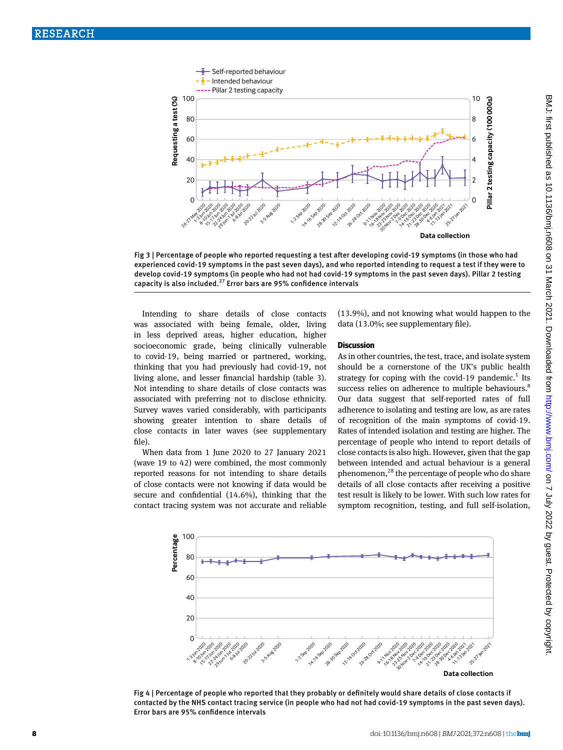

Fig 3 | Percentage of people who reported requesting a test after developing covid-19 symptoms (in those who had experienced covid-19 symptoms in the past seven days), and who reported intending to request a test if they were to develop covid-19 symptoms (in people who had not had covid-19 symptoms in the past seven days). Pillar 2 testing capacity is also included.<sup>27</sup> Error bars are 95% confidence intervals

Intending to share details of close contacts was associated with being female, older, living in less deprived areas, higher education, higher socioeconomic grade, being clinically vulnerable to covid-19, being married or partnered, working, thinking that you had previously had covid-19, not living alone, and lesser financial hardship (table 3). Not intending to share details of close contacts was associated with preferring not to disclose ethnicity. Survey waves varied considerably, with participants showing greater intention to share details of close contacts in later waves (see supplementary file).

When data from 1 June 2020 to 27 January 2021 (wave 19 to 42) were combined, the most commonly reported reasons for not intending to share details of close contacts were not knowing if data would be secure and confidential (14.6%), thinking that the contact tracing system was not accurate and reliable (13.9%), and not knowing what would happen to the data (13.0%; see supplementary file).

## **Discussion**

As in other countries, the test, trace, and isolate system should be a cornerstone of the UK's public health strategy for coping with the covid-19 pandemic.<sup>1</sup> Its success relies on adherence to multiple behaviours.<sup>8</sup> Our data suggest that self-reported rates of full adherence to isolating and testing are low, as are rates of recognition of the main symptoms of covid-19. Rates of intended isolation and testing are higher. The percentage of people who intend to report details of close contacts is also high. However, given that the gap between intended and actual behaviour is a general phenomenon,<sup>28</sup> the percentage of people who do share details of all close contacts after receiving a positive test result is likely to be lower. With such low rates for symptom recognition, testing, and full self-isolation,



Fig 4 | Percentage of people who reported that they probably or definitely would share details of close contacts if contacted by the NHS contact tracing service (in people who had not had covid-19 symptoms in the past seven days). Error bars are 95% confidence intervals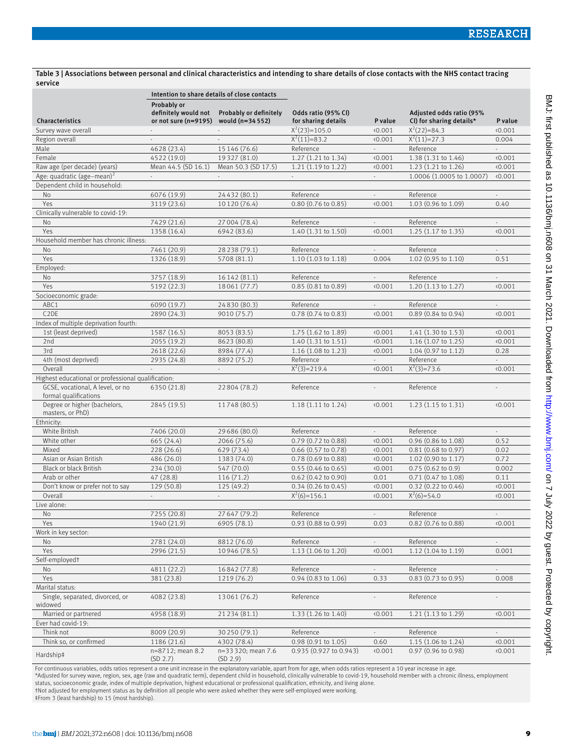Table 3 | Associations between personal and clinical characteristics and intending to share details of close contacts with the NHS contact tracing service

|                                                           | Intention to share details of close contacts |                                             |                               |                             |                               |                             |  |
|-----------------------------------------------------------|----------------------------------------------|---------------------------------------------|-------------------------------|-----------------------------|-------------------------------|-----------------------------|--|
|                                                           | Probably or                                  | definitely would not Probably or definitely | Odds ratio (95% CI)           |                             | Adjusted odds ratio (95%      |                             |  |
| Characteristics                                           | or not sure (n=9195) would (n=34 552)        |                                             | for sharing details           | P value                     | CI) for sharing details*      | P value                     |  |
| Survey wave overall                                       | $\sim$                                       | $\sim$                                      | $X^2(23)=105.0$               | 0.001                       | $X^2(22)=84.3$                | 0.001                       |  |
| Region overall                                            | $\overline{\phantom{a}}$                     | $\overline{\phantom{a}}$                    | $X^2(11)=83.2$                | (0.001)                     | $X^2(11)=27.3$                | 0.004                       |  |
| Male                                                      | 4628 (23.4)                                  | 15 146 (76.6)                               | Reference                     | $\omega$ .                  | Reference                     | $\omega_{\rm{eff}}$         |  |
| Female                                                    | 4522 (19.0)                                  | 19327 (81.0)                                | 1.27 (1.21 to 1.34)           | 0.001                       | 1.38 (1.31 to 1.46)           | 0.001                       |  |
| Raw age (per decade) (years)                              | Mean 44.5 (SD 16.1)                          | Mean 50.3 (SD 17.5)                         | 1.21 (1.19 to 1.22)           | (0.001)                     | 1.23 (1.21 to 1.26)           | 0.001                       |  |
| Age: quadratic (age-mean) <sup>2</sup>                    | $\sim$                                       | $\sim$                                      | $\mathcal{L}_{\mathrm{max}}$  | $\sim$                      | 1.0006 (1.0005 to 1.0007)     | 0.001                       |  |
| Dependent child in household:                             |                                              |                                             |                               |                             |                               |                             |  |
| No                                                        | 6076 (19.9)                                  | 24432 (80.1)                                | Reference                     | $\mathcal{L}^{\pm}$         | Reference                     | $\omega$                    |  |
| Yes                                                       | 3119 (23.6)                                  | 10 120 (76.4)                               | $0.80$ (0.76 to 0.85)         | (0.001)                     | 1.03 (0.96 to 1.09)           | 0.40                        |  |
| Clinically vulnerable to covid-19:                        |                                              |                                             |                               |                             |                               |                             |  |
| <b>No</b>                                                 | 7429 (21.6)                                  | 27 004 (78.4)                               | Reference                     | $\mathcal{L}^{\mathcal{L}}$ | Reference                     | $\mathcal{L}^{\pm}$         |  |
| Yes                                                       | 1358 (16.4)                                  | 6942 (83.6)                                 | 1.40 (1.31 to 1.50)           | 0.001                       | 1.25 (1.17 to 1.35)           | 0.001                       |  |
| Household member has chronic illness:                     |                                              |                                             |                               |                             |                               |                             |  |
| No                                                        | 7461 (20.9)                                  | 28 238 (79.1)                               | Reference                     | $\overline{\phantom{a}}$    | Reference                     | $\sim$                      |  |
| Yes                                                       | 1326 (18.9)                                  | 5708 (81.1)                                 | 1.10(1.03 to 1.18)            | 0.004                       | 1.02 (0.95 to 1.10)           | 0.51                        |  |
| Employed:                                                 |                                              |                                             |                               |                             |                               |                             |  |
| No                                                        | 3757 (18.9)                                  | 16 142 (81.1)                               | Reference                     | $\overline{\phantom{a}}$    | Reference                     | $\mathcal{L}^{\pm}$         |  |
| Yes                                                       | 5192 (22.3)                                  | 18061 (77.7)                                | 0.85 (0.81 to 0.89)           | 0.001                       | 1.20 (1.13 to 1.27)           | 0.001                       |  |
| Socioeconomic grade:                                      |                                              |                                             |                               |                             |                               |                             |  |
| ABC1                                                      | 6090 (19.7)                                  | 24 8 30 (80.3)                              | Reference                     | $\mathcal{L}^{\pm}$         | Reference                     | $\mathbb{Z}^{\mathbb{Z}}$   |  |
| C <sub>2</sub> DE                                         | 2890 (24.3)                                  | 9010 (75.7)                                 | $0.78$ $(0.74$ to $0.83)$     | (0.001)                     | $0.89(0.84 \text{ to } 0.94)$ | 0.001                       |  |
| Index of multiple deprivation fourth:                     |                                              |                                             |                               |                             |                               |                             |  |
| 1st (least deprived)                                      | 1587 (16.5)                                  | 8053 (83.5)                                 | 1.75 (1.62 to 1.89)           | 0.001                       | 1.41 (1.30 to 1.53)           | 0.001                       |  |
| 2nd                                                       | 2055 (19.2)                                  | 8623 (80.8)                                 | 1.40 (1.31 to 1.51)           | 0.001                       | 1.16 (1.07 to 1.25)           | 0.001                       |  |
| 3rd                                                       | 2618 (22.6)                                  | 8984 (77.4)                                 | $1.16$ (1.08 to 1.23)         | 0.001                       | 1.04 (0.97 to 1.12)           | 0.28                        |  |
| 4th (most deprived)                                       | 2935 (24.8)                                  | 8892 (75.2)                                 | Reference                     |                             | Reference                     |                             |  |
| Overall                                                   |                                              | $\mathcal{L}^{\pm}$                         | $X^2(3)=219.4$                | 0.001                       | $X^2(3)=73.6$                 | 0.001                       |  |
| Highest educational or professional qualification:        |                                              |                                             |                               |                             |                               |                             |  |
| GCSE, vocational, A level, or no<br>formal qualifications | 6350 (21.8)                                  | 22804 (78.2)                                | Reference                     |                             | Reference                     |                             |  |
| Degree or higher (bachelors,<br>masters, or PhD)          | 2845 (19.5)                                  | 11748 (80.5)                                | $1.18(1.11 \text{ to } 1.24)$ | 0.001                       | $1.23(1.15 \text{ to } 1.31)$ | 0.001                       |  |
| Ethnicity:                                                |                                              |                                             |                               |                             |                               |                             |  |
| White British                                             | 7406 (20.0)                                  | 29686 (80.0)                                | Reference                     | $\mathbb{Z}^{\mathbb{Z}}$   | Reference                     | $\mathcal{L}^{\mathcal{L}}$ |  |
| White other                                               | 665 (24.4)                                   | 2066 (75.6)                                 | 0.79 (0.72 to 0.88)           | 0.001                       | 0.96 (0.86 to 1.08)           | 0.52                        |  |
| Mixed                                                     | 228 (26.6)                                   | 629 (73.4)                                  | $0.66$ (0.57 to 0.78)         | 0.001                       | 0.81 (0.68 to 0.97)           | 0.02                        |  |
| Asian or Asian British                                    | 486 (26.0)                                   | 1383 (74.0)                                 | 0.78 (0.69 to 0.88)           | 0.001                       | 1.02 (0.90 to 1.17)           | 0.72                        |  |
| <b>Black or black British</b>                             | 234 (30.0)                                   | 547 (70.0)                                  | $0.55(0.46 \text{ to } 0.65)$ | 0.001                       | $0.75(0.62 \text{ to } 0.9)$  | 0.002                       |  |
| Arab or other                                             | 47(28.8)                                     | 116(71.2)                                   | $0.62$ (0.42 to 0.90)         | 0.01                        | 0.71 (0.47 to 1.08)           | 0.11                        |  |
| Don't know or prefer not to say                           | 129 (50.8)                                   | 125 (49.2)                                  | $0.34$ (0.26 to 0.45)         | 0.001                       | 0.32 (0.22 to 0.46)           | 0.001                       |  |
| Overall                                                   | $\overline{\phantom{a}}$                     | $\overline{\phantom{a}}$                    | $X^2(6)=156.1$                | 0.001                       | $X^2(6)=54.0$                 | 0.001                       |  |
| Live alone:                                               |                                              |                                             |                               |                             |                               |                             |  |
| No.                                                       | 7255 (20.8)                                  | 27647 (79.2)                                | Reference                     |                             | Reference                     |                             |  |
| Yes                                                       | 1940 (21.9)                                  | 6905 (78.1)                                 | $0.93(0.88 \text{ to } 0.99)$ | 0.03                        | $0.82$ (0.76 to 0.88)         | 0.001                       |  |
| Work in key sector:                                       |                                              |                                             |                               |                             |                               |                             |  |
| No                                                        | 2781 (24.0)                                  | 8812 (76.0)                                 | Reference                     |                             | Reference                     |                             |  |
| Yes                                                       | 2996 (21.5)                                  | 10946 (78.5)                                | 1.13 (1.06 to 1.20)           | (0.001)                     | $1.12$ (1.04 to 1.19)         | 0.001                       |  |
| Self-employedt                                            |                                              |                                             |                               |                             |                               |                             |  |
| No                                                        | 4811 (22.2)                                  | 16842 (77.8)                                | Reference                     |                             | Reference                     |                             |  |
| Yes                                                       | 381 (23.8)                                   | 1219 (76.2)                                 | $0.94(0.83 \text{ to } 1.06)$ | 0.33                        | $0.83$ $(0.73$ to $0.95)$     | 0.008                       |  |
| Marital status:                                           |                                              |                                             |                               |                             |                               |                             |  |
| Single, separated, divorced, or<br>widowed                | 4082 (23.8)                                  | 13061 (76.2)                                | Reference                     | ÷.                          | Reference                     | ä,                          |  |
| Married or partnered                                      | 4958 (18.9)                                  | 21 234 (81.1)                               | 1.33 (1.26 to 1.40)           | 0.001                       | $1.21(1.13 \text{ to } 1.29)$ | 0.001                       |  |
| Ever had covid-19:                                        |                                              |                                             |                               |                             |                               |                             |  |
| Think not                                                 | 8009 (20.9)                                  | 30 250 (79.1)                               | Reference                     |                             | Reference                     |                             |  |
| Think so, or confirmed                                    | 1186 (21.6)                                  | 4302 (78.4)                                 | 0.98 (0.91 to 1.05)           | 0.60                        | 1.15 (1.06 to 1.24)           | 0.001                       |  |
| Hardship‡                                                 | n=8712; mean 8.2<br>(SD 2.7)                 | n=33320; mean 7.6<br>(SD 2.9)               | 0.935 (0.927 to 0.943)        | 0.001                       | 0.97 (0.96 to 0.98)           | 0.001                       |  |

For continuous variables, odds ratios represent a one unit increase in the explanatory variable, apart from for age, when odds ratios represent a 10 year increase in age.<br>\*Adjusted for survey wave, region, sex, age (raw an

status, socioeconomic grade, index of multiple deprivation, highest educational or professional qualification, ethnicity, and living alone.<br>†Not adjusted for employment status as by definition all people who were asked whe

‡From 3 (least hardship) to 15 (most hardship).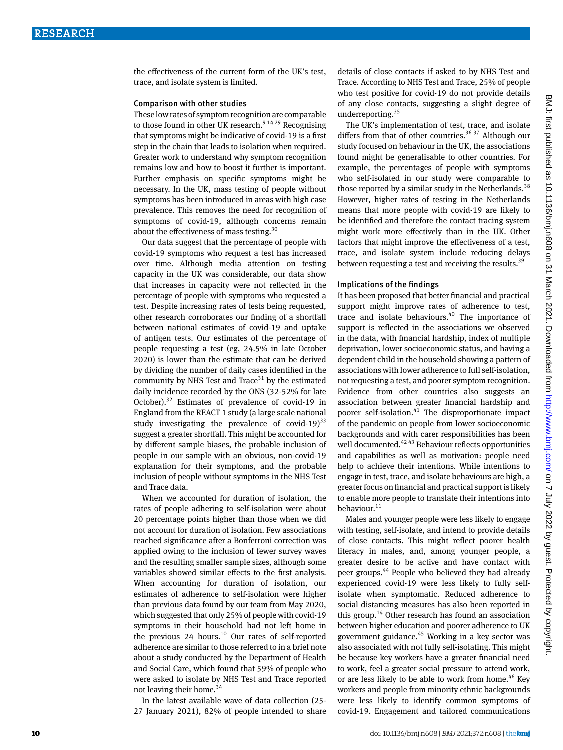the effectiveness of the current form of the UK's test, trace, and isolate system is limited.

#### Comparison with other studies

These low rates of symptom recognition are comparable to those found in other UK research. $9^{14\,29}$  Recognising that symptoms might be indicative of covid-19 is a first step in the chain that leads to isolation when required. Greater work to understand why symptom recognition remains low and how to boost it further is important. Further emphasis on specific symptoms might be necessary. In the UK, mass testing of people without symptoms has been introduced in areas with high case prevalence. This removes the need for recognition of symptoms of covid-19, although concerns remain about the effectiveness of mass testing.<sup>30</sup>

Our data suggest that the percentage of people with covid-19 symptoms who request a test has increased over time. Although media attention on testing capacity in the UK was considerable, our data show that increases in capacity were not reflected in the percentage of people with symptoms who requested a test. Despite increasing rates of tests being requested, other research corroborates our finding of a shortfall between national estimates of covid-19 and uptake of antigen tests. Our estimates of the percentage of people requesting a test (eg, 24.5% in late October 2020) is lower than the estimate that can be derived by dividing the number of daily cases identified in the community by NHS Test and Trace $31$  by the estimated daily incidence recorded by the ONS (32-52% for late October).<sup>32</sup> Estimates of prevalence of covid-19 in England from the REACT 1 study (a large scale national study investigating the prevalence of covid-19 $33$ suggest a greater shortfall. This might be accounted for by different sample biases, the probable inclusion of people in our sample with an obvious, non-covid-19 explanation for their symptoms, and the probable inclusion of people without symptoms in the NHS Test and Trace data.

When we accounted for duration of isolation, the rates of people adhering to self-isolation were about 20 percentage points higher than those when we did not account for duration of isolation. Few associations reached significance after a Bonferroni correction was applied owing to the inclusion of fewer survey waves and the resulting smaller sample sizes, although some variables showed similar effects to the first analysis. When accounting for duration of isolation, our estimates of adherence to self-isolation were higher than previous data found by our team from May 2020, which suggested that only 25% of people with covid-19 symptoms in their household had not left home in the previous 24 hours.<sup>10</sup> Our rates of self-reported adherence are similar to those referred to in a brief note about a study conducted by the Department of Health and Social Care, which found that 59% of people who were asked to isolate by NHS Test and Trace reported not leaving their home. $34$ 

In the latest available wave of data collection (25- 27 January 2021), 82% of people intended to share details of close contacts if asked to by NHS Test and Trace. According to NHS Test and Trace, 25% of people who test positive for covid-19 do not provide details of any close contacts, suggesting a slight degree of underreporting. $35$ 

The UK's implementation of test, trace, and isolate differs from that of other countries.<sup>36 37</sup> Although our study focused on behaviour in the UK, the associations found might be generalisable to other countries. For example, the percentages of people with symptoms who self-isolated in our study were comparable to those reported by a similar study in the Netherlands.<sup>38</sup> However, higher rates of testing in the Netherlands means that more people with covid-19 are likely to be identified and therefore the contact tracing system might work more effectively than in the UK. Other factors that might improve the effectiveness of a test, trace, and isolate system include reducing delays between requesting a test and receiving the results.<sup>39</sup>

#### Implications of the findings

It has been proposed that better financial and practical support might improve rates of adherence to test, trace and isolate behaviours.<sup>40</sup> The importance of support is reflected in the associations we observed in the data, with financial hardship, index of multiple deprivation, lower socioeconomic status, and having a dependent child in the household showing a pattern of associations with lower adherence to full self-isolation, not requesting a test, and poorer symptom recognition. Evidence from other countries also suggests an association between greater financial hardship and poorer self-isolation. $41$  The disproportionate impact of the pandemic on people from lower socioeconomic backgrounds and with carer responsibilities has been well documented.<sup>42 43</sup> Behaviour reflects opportunities and capabilities as well as motivation: people need help to achieve their intentions. While intentions to engage in test, trace, and isolate behaviours are high, a greater focus on financial and practical support is likely to enable more people to translate their intentions into behaviour. $11$ 

Males and younger people were less likely to engage with testing, self-isolate, and intend to provide details of close contacts. This might reflect poorer health literacy in males, and, among younger people, a greater desire to be active and have contact with peer groups.44 People who believed they had already experienced covid-19 were less likely to fully selfisolate when symptomatic. Reduced adherence to social distancing measures has also been reported in this group.<sup>14</sup> Other research has found an association between higher education and poorer adherence to UK government guidance. $45$  Working in a key sector was also associated with not fully self-isolating. This might be because key workers have a greater financial need to work, feel a greater social pressure to attend work, or are less likely to be able to work from home.<sup>46</sup> Key workers and people from minority ethnic backgrounds were less likely to identify common symptoms of covid-19. Engagement and tailored communications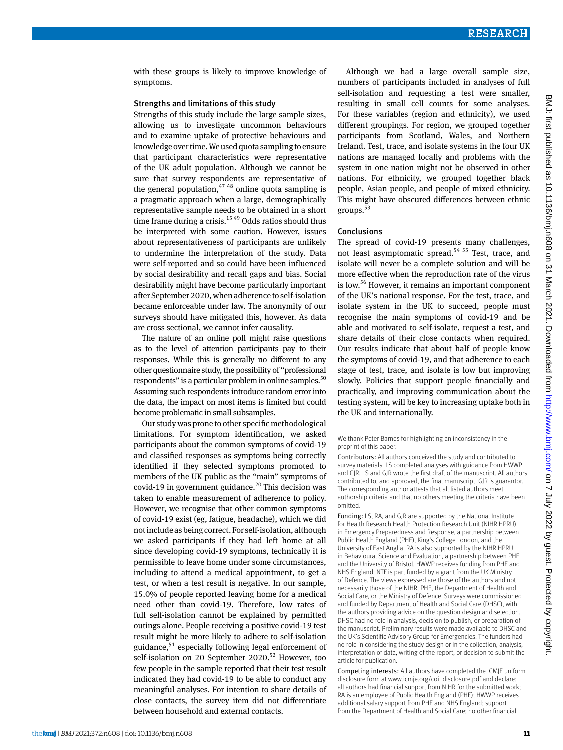with these groups is likely to improve knowledge of symptoms.

#### Strengths and limitations of this study

Strengths of this study include the large sample sizes, allowing us to investigate uncommon behaviours and to examine uptake of protective behaviours and knowledge over time. We used quota sampling to ensure that participant characteristics were representative of the UK adult population. Although we cannot be sure that survey respondents are representative of the general population,  $4748$  online quota sampling is a pragmatic approach when a large, demographically representative sample needs to be obtained in a short time frame during a crisis.<sup>15 49</sup> Odds ratios should thus be interpreted with some caution. However, issues about representativeness of participants are unlikely to undermine the interpretation of the study. Data were self-reported and so could have been influenced by social desirability and recall gaps and bias. Social desirability might have become particularly important after September 2020, when adherence to self-isolation became enforceable under law. The anonymity of our surveys should have mitigated this, however. As data are cross sectional, we cannot infer causality.

The nature of an online poll might raise questions as to the level of attention participants pay to their responses. While this is generally no different to any other questionnaire study, the possibility of "professional respondents" is a particular problem in online samples.<sup>50</sup> Assuming such respondents introduce random error into the data, the impact on most items is limited but could become problematic in small subsamples.

Our study was prone to other specific methodological limitations. For symptom identification, we asked participants about the common symptoms of covid-19 and classified responses as symptoms being correctly identified if they selected symptoms promoted to members of the UK public as the "main" symptoms of covid-19 in government guidance.<sup>20</sup> This decision was taken to enable measurement of adherence to policy. However, we recognise that other common symptoms of covid-19 exist (eg, fatigue, headache), which we did not include as being correct. For self-isolation, although we asked participants if they had left home at all since developing covid-19 symptoms, technically it is permissible to leave home under some circumstances, including to attend a medical appointment, to get a test, or when a test result is negative. In our sample, 15.0% of people reported leaving home for a medical need other than covid-19. Therefore, low rates of full self-isolation cannot be explained by permitted outings alone. People receiving a positive covid-19 test result might be more likely to adhere to self-isolation guidance,  $51$  especially following legal enforcement of self-isolation on 20 September  $2020$ <sup>52</sup> However, too few people in the sample reported that their test result indicated they had covid-19 to be able to conduct any meaningful analyses. For intention to share details of close contacts, the survey item did not differentiate between household and external contacts.

Although we had a large overall sample size, numbers of participants included in analyses of full self-isolation and requesting a test were smaller, resulting in small cell counts for some analyses. For these variables (region and ethnicity), we used different groupings. For region, we grouped together participants from Scotland, Wales, and Northern Ireland. Test, trace, and isolate systems in the four UK nations are managed locally and problems with the system in one nation might not be observed in other nations. For ethnicity, we grouped together black people, Asian people, and people of mixed ethnicity. This might have obscured differences between ethnic groups.<sup>53</sup>

#### Conclusions

The spread of covid-19 presents many challenges, not least asymptomatic spread.<sup>54 55</sup> Test, trace, and isolate will never be a complete solution and will be more effective when the reproduction rate of the virus is low.56 However, it remains an important component of the UK's national response. For the test, trace, and isolate system in the UK to succeed, people must recognise the main symptoms of covid-19 and be able and motivated to self-isolate, request a test, and share details of their close contacts when required. Our results indicate that about half of people know the symptoms of covid-19, and that adherence to each stage of test, trace, and isolate is low but improving slowly. Policies that support people financially and practically, and improving communication about the testing system, will be key to increasing uptake both in the UK and internationally.

We thank Peter Barnes for highlighting an inconsistency in the preprint of this paper.

Contributors: All authors conceived the study and contributed to survey materials. LS completed analyses with guidance from HWWP and GJR. LS and GJR wrote the first draft of the manuscript. All authors contributed to, and approved, the final manuscript. GJR is guarantor. The corresponding author attests that all listed authors meet authorship criteria and that no others meeting the criteria have been omitted.

Funding: LS, RA, and GJR are supported by the National Institute for Health Research Health Protection Research Unit (NIHR HPRU) in Emergency Preparedness and Response, a partnership between Public Health England (PHE), King's College London, and the University of East Anglia. RA is also supported by the NIHR HPRU in Behavioural Science and Evaluation, a partnership between PHE and the University of Bristol. HWWP receives funding from PHE and NHS England. NTF is part funded by a grant from the UK Ministry of Defence. The views expressed are those of the authors and not necessarily those of the NIHR, PHE, the Department of Health and Social Care, or the Ministry of Defence. Surveys were commissioned and funded by Department of Health and Social Care (DHSC), with the authors providing advice on the question design and selection. DHSC had no role in analysis, decision to publish, or preparation of the manuscript. Preliminary results were made available to DHSC and the UK's Scientific Advisory Group for Emergencies. The funders had no role in considering the study design or in the collection, analysis, interpretation of data, writing of the report, or decision to submit the article for publication.

Competing interests: All authors have completed the ICMJE uniform disclosure form at [www.icmje.org/coi\\_disclosure.pdf](http://www.icmje.org/coi_disclosure.pdf) and declare: all authors had financial support from NIHR for the submitted work; RA is an employee of Public Health England (PHE); HWWP receives additional salary support from PHE and NHS England; support from the Department of Health and Social Care; no other financial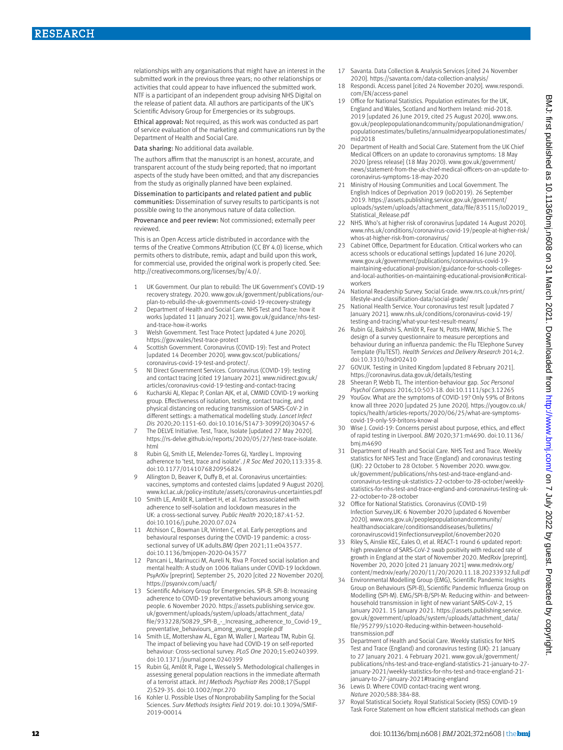relationships with any organisations that might have an interest in the submitted work in the previous three years; no other relationships or activities that could appear to have influenced the submitted work. NTF is a participant of an independent group advising NHS Digital on the release of patient data. All authors are participants of the UK's Scientific Advisory Group for Emergencies or its subgroups.

Ethical approval: Not required, as this work was conducted as part of service evaluation of the marketing and communications run by the Department of Health and Social Care.

Data sharing: No additional data available.

The authors affirm that the manuscript is an honest, accurate, and transparent account of the study being reported; that no important aspects of the study have been omitted; and that any discrepancies from the study as originally planned have been explained.

Dissemination to participants and related patient and public communities: Dissemination of survey results to participants is not possible owing to the anonymous nature of data collection.

Provenance and peer review: Not commissioned; externally peer reviewed.

This is an Open Access article distributed in accordance with the terms of the Creative Commons Attribution (CC BY 4.0) license, which permits others to distribute, remix, adapt and build upon this work, for commercial use, provided the original work is properly cited. See: [http://creativecommons.org/licenses/by/4.0/.](http://creativecommons.org/licenses/by/4.0/)

- 1 UK Government. Our plan to rebuild: The UK Government's COVID-19 recovery strategy. 2020. [www.gov.uk/government/publications/our](http://www.gov.uk/government/publications/our-plan-to-rebuild-the-uk-governments-covid-19-recovery-strategy)[plan-to-rebuild-the-uk-governments-covid-19-recovery-strategy](http://www.gov.uk/government/publications/our-plan-to-rebuild-the-uk-governments-covid-19-recovery-strategy)
- 2 Department of Health and Social Care. NHS Test and Trace: how it works [updated 11 January 2021]. [www.gov.uk/guidance/nhs-test](http://www.gov.uk/guidance/nhs-test-and-trace-how-it-works)[and-trace-how-it-works](http://www.gov.uk/guidance/nhs-test-and-trace-how-it-works)
- 3 Welsh Government. Test Trace Protect [updated 4 June 2020]. https://gov.wales/test-trace-protect
- Scottish Government. Coronavirus (COVID-19): Test and Protect [updated 14 December 2020]. [www.gov.](http://www.gov)scot/publications/ coronavirus-covid-19-test-and-protect/.
- 5 NI Direct Government Services. Coronavirus (COVID-19): testing and contact tracing [cited 19 January 2021]. [www.nidirect.gov.uk/](http://www.nidirect.gov.uk/articles/coronavirus-covid-19-testing-and-contact-tracing) [articles/coronavirus-covid-19-testing-and-contact-tracing](http://www.nidirect.gov.uk/articles/coronavirus-covid-19-testing-and-contact-tracing)
- 6 Kucharski AJ, Klepac P, Conlan AJK, et al, CMMID COVID-19 working group. Effectiveness of isolation, testing, contact tracing, and physical distancing on reducing transmission of SARS-CoV-2 in different settings: a mathematical modelling study. *Lancet Infect Dis* 2020;20:1151-60. doi:10.1016/S1473-3099(20)30457-6
- 7 The DELVE Initiative. Test, Trace, Isolate [updated 27 May 2020]. [https://rs-delve.github.io/reports/2020/05/27/test-trace-isolate.](https://rs-delve.github.io/reports/2020/05/27/test-trace-isolate.html) [html](https://rs-delve.github.io/reports/2020/05/27/test-trace-isolate.html)
- 8 Rubin GJ, Smith LE, Melendez-Torres GJ, Yardley L. Improving adherence to 'test, trace and isolate'. *J R Soc Med* 2020;113:335-8. doi:10.1177/0141076820956824
- 9 Allington D, Beaver K, Duffy B, et al. Coronavirus uncertainties: vaccines, symptoms and contested claims [updated 9 August 2020]. [www.kcl.ac.uk/policy-institute/assets/coronavirus-uncertainties.pdf](http://www.kcl.ac.uk/policy-institute/assets/coronavirus-uncertainties.pdf)
- 10 Smith LE, Amlôt R, Lambert H, et al. Factors associated with adherence to self-isolation and lockdown measures in the UK: a cross-sectional survey. *Public Health* 2020;187:41-52. doi:10.1016/j.puhe.2020.07.024
- 11 Atchison C, Bowman LR, Vrinten C, et al. Early perceptions and behavioural responses during the COVID-19 pandemic: a crosssectional survey of UK adults.*BMJ Open* 2021;11:e043577. doi:10.1136/bmjopen-2020-043577
- 12 Pancani L, Marinucci M, Aureli N, Riva P. Forced social isolation and mental health: A study on 1006 Italians under COVID-19 lockdown. PsyArXiv [preprint]. September 25, 2020 [cited 22 November 2020]. <https://psyarxiv.com/uacfj/>
- 13 Scientific Advisory Group for Emergencies. SPI-B. SPI-B: Increasing adherence to COVID-19 preventative behaviours among young people. 6 November 2020. [https://assets.publishing.service.gov.](https://assets.publishing.service.gov.uk/government/uploads/system/uploads/attachment_data/file/933228/S0829_SPI-B_-_Increasing_adherence_to_Covid-19_preventative_behaviours_among_young_people.pdf) [uk/government/uploads/system/uploads/attachment\\_data/](https://assets.publishing.service.gov.uk/government/uploads/system/uploads/attachment_data/file/933228/S0829_SPI-B_-_Increasing_adherence_to_Covid-19_preventative_behaviours_among_young_people.pdf) [file/933228/S0829\\_SPI-B\\_-\\_Increasing\\_adherence\\_to\\_Covid-19\\_](https://assets.publishing.service.gov.uk/government/uploads/system/uploads/attachment_data/file/933228/S0829_SPI-B_-_Increasing_adherence_to_Covid-19_preventative_behaviours_among_young_people.pdf) [preventative\\_behaviours\\_among\\_young\\_people.pdf](https://assets.publishing.service.gov.uk/government/uploads/system/uploads/attachment_data/file/933228/S0829_SPI-B_-_Increasing_adherence_to_Covid-19_preventative_behaviours_among_young_people.pdf)
- 14 Smith LE, Mottershaw AL, Egan M, Waller J, Marteau TM, Rubin GJ. The impact of believing you have had COVID-19 on self-reported behaviour: Cross-sectional survey. *PLoS One* 2020;15:e0240399. doi:10.1371/journal.pone.0240399
- Rubin GJ, Amlôt R, Page L, Wessely S. Methodological challenges in assessing general population reactions in the immediate aftermath of a terrorist attack. *Int J Methods Psychiatr Res* 2008;17(Suppl 2):S29-35. doi:10.1002/mpr.270
- Kohler U. Possible Uses of Nonprobability Sampling for the Social Sciences. *Surv Methods Insights Field* 2019. doi:10.13094/SMIF-2019-00014
- 17 Savanta. Data Collection & Analysis Services [cited 24 November 2020].<https://savanta.com/data-collection-analysis/>
- 18 Respondi. Access panel [cited 24 November 2020]. [www.respondi.](http://www.respondi.com/EN/access-panel) [com/EN/access-panel](http://www.respondi.com/EN/access-panel)
- 19 Office for National Statistics. Population estimates for the UK, England and Wales, Scotland and Northern Ireland: mid-2018. 2019 [updated 26 June 2019, cited 25 August 2020]. [www.ons.](http://www.ons.gov.uk/peoplepopulationandcommunity/populationandmigration/populationestimates/bulletins/annualmidyearpopulationestimates/mid2018) [gov.uk/peoplepopulationandcommunity/populationandmigration/](http://www.ons.gov.uk/peoplepopulationandcommunity/populationandmigration/populationestimates/bulletins/annualmidyearpopulationestimates/mid2018) [populationestimates/bulletins/annualmidyearpopulationestimates/](http://www.ons.gov.uk/peoplepopulationandcommunity/populationandmigration/populationestimates/bulletins/annualmidyearpopulationestimates/mid2018) [mid2018](http://www.ons.gov.uk/peoplepopulationandcommunity/populationandmigration/populationestimates/bulletins/annualmidyearpopulationestimates/mid2018)
- 20 Department of Health and Social Care. Statement from the UK Chief Medical Officers on an update to coronavirus symptoms: 18 May 2020 [press release] (18 May 2020). [www.gov.uk/government/](http://www.gov.uk/government/news/statement-from-the-uk-chief-medical-officers-on-an-update-to-coronavirus-symptoms-18-may-2020) [news/statement-from-the-uk-chief-medical-officers-on-an-update-to](http://www.gov.uk/government/news/statement-from-the-uk-chief-medical-officers-on-an-update-to-coronavirus-symptoms-18-may-2020)[coronavirus-symptoms-18-may-2020](http://www.gov.uk/government/news/statement-from-the-uk-chief-medical-officers-on-an-update-to-coronavirus-symptoms-18-may-2020)
- 21 Ministry of Housing Communities and Local Government. The English Indices of Deprivation 2019 (IoD2019). 26 September 2019. [https://assets.publishing.service.gov.uk/government/](https://assets.publishing.service.gov.uk/government/uploads/system/uploads/attachment_data/file/835115/IoD2019_Statistical_Release.pdf) [uploads/system/uploads/attachment\\_data/file/835115/IoD2019\\_](https://assets.publishing.service.gov.uk/government/uploads/system/uploads/attachment_data/file/835115/IoD2019_Statistical_Release.pdf) [Statistical\\_Release.pdf](https://assets.publishing.service.gov.uk/government/uploads/system/uploads/attachment_data/file/835115/IoD2019_Statistical_Release.pdf)
- 22 NHS. Who's at higher risk of coronavirus [updated 14 August 2020]. [www.nhs.uk/conditions/coronavirus-covid-19/people-at-higher-risk/](http://www.nhs.uk/conditions/coronavirus-covid-19/people-at-higher-risk/whos-at-higher-risk-from-coronavirus/) [whos-at-higher-risk-from-coronavirus/](http://www.nhs.uk/conditions/coronavirus-covid-19/people-at-higher-risk/whos-at-higher-risk-from-coronavirus/)
- 23 Cabinet Office, Department for Education. Critical workers who can access schools or educational settings [updated 16 June 2020]. www.gov.uk/government/publications/coronavirus-covid-19 maintaining-educational-provision/guidance-for-schools-collegesand-local-authorities-on-maintaining-educational-provision#criticalworkers
- 24 National Readership Survey. Social Grade. [www.nrs.co.uk/nrs-print/](http://www.nrs.co.uk/nrs-print/lifestyle-and-classification-data/social-grade/) [lifestyle-and-classification-data/social-grade/](http://www.nrs.co.uk/nrs-print/lifestyle-and-classification-data/social-grade/)
- 25 National Health Service. Your coronavirus test result [updated 7 January 2021]. [www.nhs.uk/conditions/coronavirus-covid-19/](http://www.nhs.uk/conditions/coronavirus-covid-19/testing-and-tracing/what-your-test-result-means/) [testing-and-tracing/what-your-test-result-means/](http://www.nhs.uk/conditions/coronavirus-covid-19/testing-and-tracing/what-your-test-result-means/)
- 26 Rubin GJ, Bakhshi S, Amlôt R, Fear N, Potts HWW, Michie S. The design of a survey questionnaire to measure perceptions and behaviour during an influenza pandemic: the Flu TElephone Survey Template (FluTEST). *Health Services and Delivery Research* 2014;2. doi:10.3310/hsdr02410
- 27 GOV.UK. Testing in United Kingdom [updated 8 February 2021]. <https://coronavirus.data.gov.uk/details/testing>
- 28 Sheeran P, Webb TL. The intention-behaviour gap. *Soc Personal Psychol Compass* 2016;10:503-18. doi:10.1111/spc3.12265
- 29 YouGov. What are the symptoms of COVID-19? Only 59% of Britons know all three 2020 [updated 25 June 2020]. [https://yougov.co.uk/](https://yougov.co.uk/topics/health/articles-reports/2020/06/25/what-are-symptoms-covid-19-only-59-britons-know-al) [topics/health/articles-reports/2020/06/25/what-are-symptoms](https://yougov.co.uk/topics/health/articles-reports/2020/06/25/what-are-symptoms-covid-19-only-59-britons-know-al)[covid-19-only-59-britons-know-al](https://yougov.co.uk/topics/health/articles-reports/2020/06/25/what-are-symptoms-covid-19-only-59-britons-know-al)
- 30 Wise J. Covid-19: Concerns persist about purpose, ethics, and effect of rapid testing in Liverpool. *BMJ* 2020;371:m4690. doi:10.1136/ bmj.m4690
- 31 Department of Health and Social Care. NHS Test and Trace. Weekly statistics for NHS Test and Trace (England) and coronavirus testing (UK): 22 October to 28 October. 5 November 2020. [www.gov.](http://www.gov.uk/government/publications/nhs-test-and-trace-england-and-coronavirus-testing-uk-statistics-22-october-to-28-october/weekly-statistics-for-nhs-test-and-trace-england-and-coronavirus-testing-uk-22-october-to-28-october) [uk/government/publications/nhs-test-and-trace-england-and](http://www.gov.uk/government/publications/nhs-test-and-trace-england-and-coronavirus-testing-uk-statistics-22-october-to-28-october/weekly-statistics-for-nhs-test-and-trace-england-and-coronavirus-testing-uk-22-october-to-28-october)[coronavirus-testing-uk-statistics-22-october-to-28-october/weekly](http://www.gov.uk/government/publications/nhs-test-and-trace-england-and-coronavirus-testing-uk-statistics-22-october-to-28-october/weekly-statistics-for-nhs-test-and-trace-england-and-coronavirus-testing-uk-22-october-to-28-october)[statistics-for-nhs-test-and-trace-england-and-coronavirus-testing-uk-](http://www.gov.uk/government/publications/nhs-test-and-trace-england-and-coronavirus-testing-uk-statistics-22-october-to-28-october/weekly-statistics-for-nhs-test-and-trace-england-and-coronavirus-testing-uk-22-october-to-28-october)[22-october-to-28-october](http://www.gov.uk/government/publications/nhs-test-and-trace-england-and-coronavirus-testing-uk-statistics-22-october-to-28-october/weekly-statistics-for-nhs-test-and-trace-england-and-coronavirus-testing-uk-22-october-to-28-october)
- 32 Office for National Statistics. Coronavirus (COVID-19) Infection Survey,UK: 6 November 2020 [updated 6 November 2020]. [www.ons.gov.uk/peoplepopulationandcommunity/](http://www.ons.gov.uk/peoplepopulationandcommunity/healthandsocialcare/conditionsanddiseases/bulletins/coronaviruscovid19infectionsurveypilot/6november2020) [healthandsocialcare/conditionsanddiseases/bulletins/](http://www.ons.gov.uk/peoplepopulationandcommunity/healthandsocialcare/conditionsanddiseases/bulletins/coronaviruscovid19infectionsurveypilot/6november2020) [coronaviruscovid19infectionsurveypilot/6november2020](http://www.ons.gov.uk/peoplepopulationandcommunity/healthandsocialcare/conditionsanddiseases/bulletins/coronaviruscovid19infectionsurveypilot/6november2020)
- 33 Riley S, Ainslie KEC, Eales O, et al. REACT-1 round 6 updated report: high prevalence of SARS-CoV-2 swab positivity with reduced rate of growth in England at the start of November 2020. MedRxiv [preprint]. November 20, 2020 [cited 21 January 2021] [www.medrxiv.org/](http://www.medrxiv.org/content/medrxiv/early/2020/11/20/2020.11.18.20233932.full.pdf) [content/medrxiv/early/2020/11/20/2020.11.18.20233932.full.pdf](http://www.medrxiv.org/content/medrxiv/early/2020/11/20/2020.11.18.20233932.full.pdf)
- 34 Environmental Modelling Group (EMG), Scientific Pandemic Insights Group on Behaviours (SPI-B), Scientific Pandemic Influenza Group on Modelling (SPI-M). EMG/SPI-B/SPI-M: Reducing within- and betweenhousehold transmission in light of new variant SARS-CoV-2, 15 January 2021. 15 January 2021. [https://assets.publishing.service.](https://assets.publishing.service.gov.uk/government/uploads/system/uploads/attachment_data/file/952799/s1020-Reducing-within-between-household-transmission.pdf) [gov.uk/government/uploads/system/uploads/attachment\\_data/](https://assets.publishing.service.gov.uk/government/uploads/system/uploads/attachment_data/file/952799/s1020-Reducing-within-between-household-transmission.pdf) [file/952799/s1020-Reducing-within-between-household](https://assets.publishing.service.gov.uk/government/uploads/system/uploads/attachment_data/file/952799/s1020-Reducing-within-between-household-transmission.pdf)[transmission.pdf](https://assets.publishing.service.gov.uk/government/uploads/system/uploads/attachment_data/file/952799/s1020-Reducing-within-between-household-transmission.pdf)
- 35 Department of Health and Social Care. Weekly statistics for NHS Test and Trace (England) and coronavirus testing (UK): 21 January to 27 January 2021. 4 February 2021. www.gov.uk/government/ publications/nhs-test-and-trace-england-statistics-21-january-to-27 january-2021/weekly-statistics-for-nhs-test-and-trace-england-21 january-to-27-january-2021#tracing-england
- 36 Lewis D. Where COVID contact-tracing went wrong.
- *Nature* 2020;588:384-88.
- 37 Royal Statistical Society. Royal Statistical Society (RSS) COVID-19 Task Force Statement on how efficient statistical methods can glean